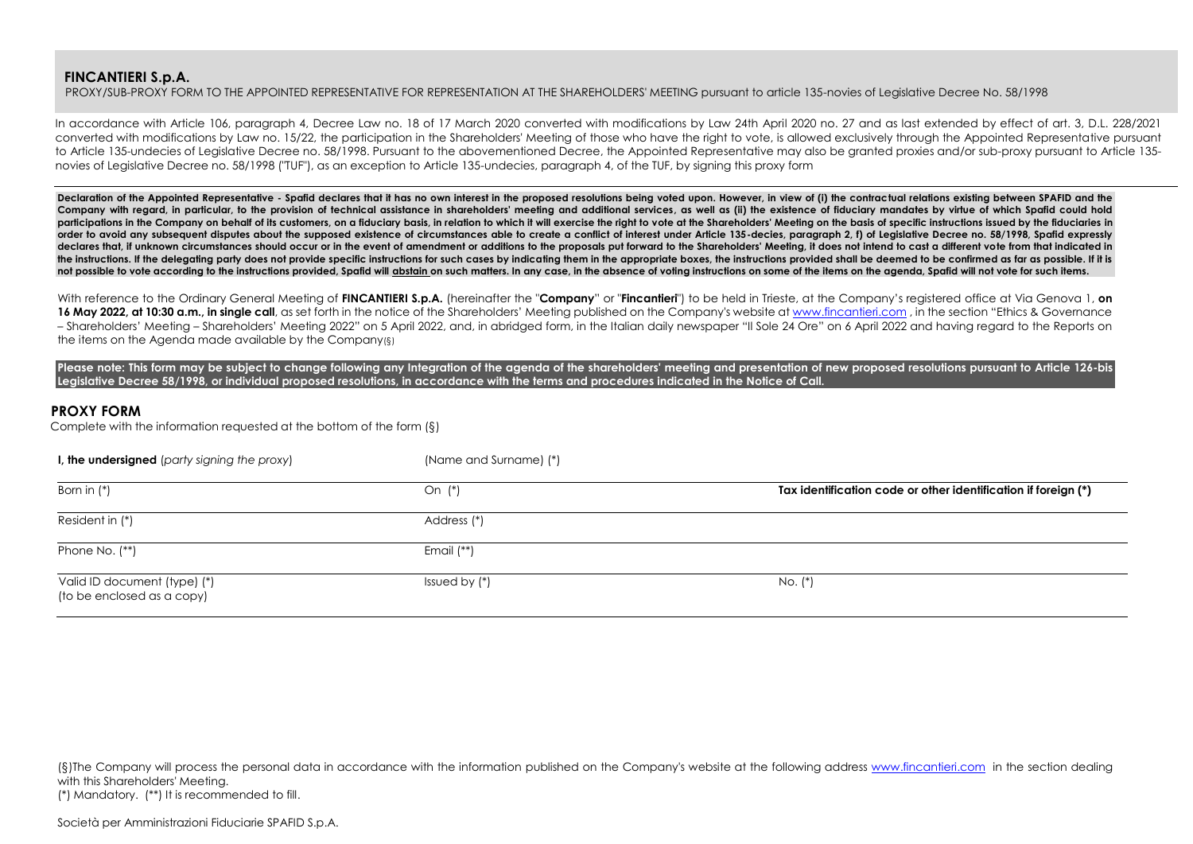PROXY/SUB-PROXY FORM TO THE APPOINTED REPRESENTATIVE FOR REPRESENTATION AT THE SHAREHOLDERS' MEETING pursuant to article 135-novies of Legislative Decree No. 58/1998

In accordance with Article 106, paragraph 4, Decree Law no. 18 of 17 March 2020 converted with modifications by Law 24th April 2020 no. 27 and as last extended by effect of art. 3, D.L. 228/2021 converted with modifications by Law no. 15/22, the participation in the Shareholders' Meeting of those who have the right to vote, is allowed exclusively through the Appointed Representative pursuant to Article 135-undecies of Legislative Decree no. 58/1998. Pursuant to the abovementioned Decree, the Appointed Representative may also be granted proxies and/or sub-proxy pursuant to Article 135novies of Legislative Decree no. 58/1998 ("TUF"), as an exception to Article 135-undecies, paragraph 4, of the TUF, by signing this proxy form

Declaration of the Appointed Representative - Spafid declares that it has no own interest in the proposed resolutions being voted upon. However, in view of (i) the contractual relations existing between SPAFID and the Company with regard, in particular, to the provision of technical assistance in shareholders' meeting and additional services, as well as (ii) the existence of fiduciary mandates by virtue of which Spafid could hold participations in the Company on behalf of its customers, on a fiduciary basis, in relation to which it will exercise the right to yote at the Shareholders' Meeting on the basis of specific instructions issued by the fiduc **order to avoid any subsequent disputes about the supposed existence of circumstances able to create a conflict of interest under Article 135-decies, paragraph 2, f) of Legislative Decree no. 58/1998, Spafid expressly**  declares that, if unknown circumstances should occur or in the event of amendment or additions to the proposals put forward to the Shareholders' Meeting, it does not intend to cast a different vote from that indicated in the instructions. If the delegating party does not provide specific instructions for such cases by indicating them in the appropriate boxes, the instructions provided shall be deemed to be confirmed as far as possible. If not possible to vote according to the instructions provided, Spafid will abstain on such matters. In any case, in the absence of voting instructions on some of the items on the agenda, Spafid will not vote for such items.

With reference to the Ordinary General Meeting of FINCANTIERI S.p.A. (hereinafter the "Company" or "Fincantieri") to be held in Trieste, at the Company's registered office at Via Genova 1, on **16 May 2022, at 10:30 a.m., in single call**, as set forth in the notice of the Shareholders' Meeting published on the Company's website at [www.fincantieri.com](http://www.fincantieri.com/) , in the section "Ethics & Governance - Shareholders' Meeting - Shareholders' Meeting 2022" on 5 April 2022, and, in abridged form, in the Italian daily newspaper "Il Sole 24 Ore" on 6 April 2022 and having regard to the Reports on the items on the Agenda made available by the Company(§)

Please note: This form may be subject to change following any Integration of the agenda of the shareholders' meeting and presentation of new proposed resolutions pursuant to Article 126-bis **Legislative Decree 58/1998, or individual proposed resolutions, in accordance with the terms and procedures indicated in the Notice of Call.**

## **PROXY FORM**

Complete with the information requested at the bottom of the form (§)

| I, the undersigned (party signing the proxy)               | (Name and Surname) (*) |                                                                |
|------------------------------------------------------------|------------------------|----------------------------------------------------------------|
| Born in $(*)$                                              | On (*)                 | Tax identification code or other identification if foreign (*) |
| Resident in (*)                                            | Address (*)            |                                                                |
| Phone No. (**)                                             | Email $(**)$           |                                                                |
| Valid ID document (type) (*)<br>(to be enclosed as a copy) | Issued by $(*)$        | No. (*)                                                        |

(§)The Company will process the personal data in accordance with the information published on the Company's website at the following address [www.fincantieri.com](http://www.fincantieri.com/) in the section dealing with this Shareholders' Meeting.

(\*) Mandatory. (\*\*) It is recommended to fill.

Società per Amministrazioni Fiduciarie SPAFID S.p.A.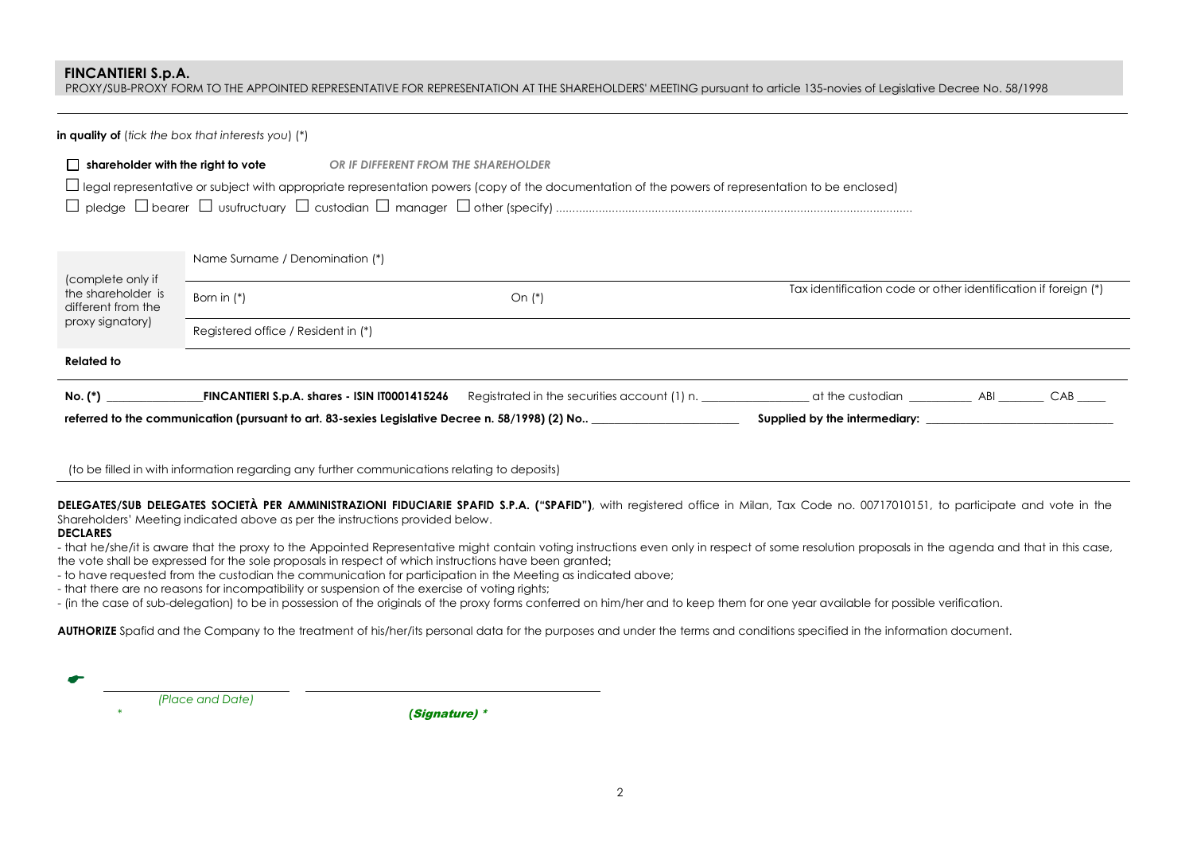PROXY/SUB-PROXY FORM TO THE APPOINTED REPRESENTATIVE FOR REPRESENTATION AT THE SHAREHOLDERS' MEETING pursuant to article 135-novies of Legislative Decree No. 58/1998

### **in quality of** (*tick the box that interests you*) (\*)

| $\Box$ shareholder with the right to vote | OR IF DIFFERENT FROM THE SHAREHOLDER |
|-------------------------------------------|--------------------------------------|
|                                           |                                      |

 $\Box$  legal representative or subject with appropriate representation powers (copy of the documentation of the powers of representation to be enclosed)

 $\nabla$  pledge  $\nabla$  begree  $\nabla$  usufructuary  $\nabla$  custodian  $\nabla$  manager  $\nabla$  other (specify)

Name Surname / Denomination (\*)

| (complete only if<br>the shareholder is<br>different from the | Born in $(*)$                                                                                   | On $(*)$                                     | Tax identification code or other identification if foreign (*) |      |
|---------------------------------------------------------------|-------------------------------------------------------------------------------------------------|----------------------------------------------|----------------------------------------------------------------|------|
| proxy signatory)                                              | Registered office / Resident in (*)                                                             |                                              |                                                                |      |
| <b>Related to</b>                                             |                                                                                                 |                                              |                                                                |      |
| No. (*)                                                       | FINCANTIERI S.p.A. shares - ISIN IT0001415246                                                   | Registrated in the securities account (1) n. |                                                                | CAB. |
|                                                               | referred to the communication (pursuant to art. 83-sexies Legislative Decree n. 58/1998) (2) No |                                              | Supplied by the intermediary:                                  |      |

(to be filled in with information regarding any further communications relating to deposits)

**DELEGATES/SUB DELEGATES SOCIETÀ PER AMMINISTRAZIONI FIDUCIARIE SPAFID S.P.A. ("SPAFID")**, with registered office in Milan, Tax Code no. 00717010151, to participate and vote in the Shareholders' Meeting indicated above as per the instructions provided below.

## **DECLARES**

- that he/she/it is aware that the proxy to the Appointed Representative might contain voting instructions even only in respect of some resolution proposals in the agenda and that in this case, the vote shall be expressed for the sole proposals in respect of which instructions have been granted;

- to have requested from the custodian the communication for participation in the Meeting as indicated above;

- that there are no reasons for incompatibility or suspension of the exercise of voting rights;

- (in the case of sub-delegation) to be in possession of the originals of the proxy forms conferred on him/her and to keep them for one year available for possible verification.

AUTHORIZE Spafid and the Company to the treatment of his/her/its personal data for the purposes and under the terms and conditions specified in the information document.

| (Place and Date) |  |
|------------------|--|

*\* (*Signature) \*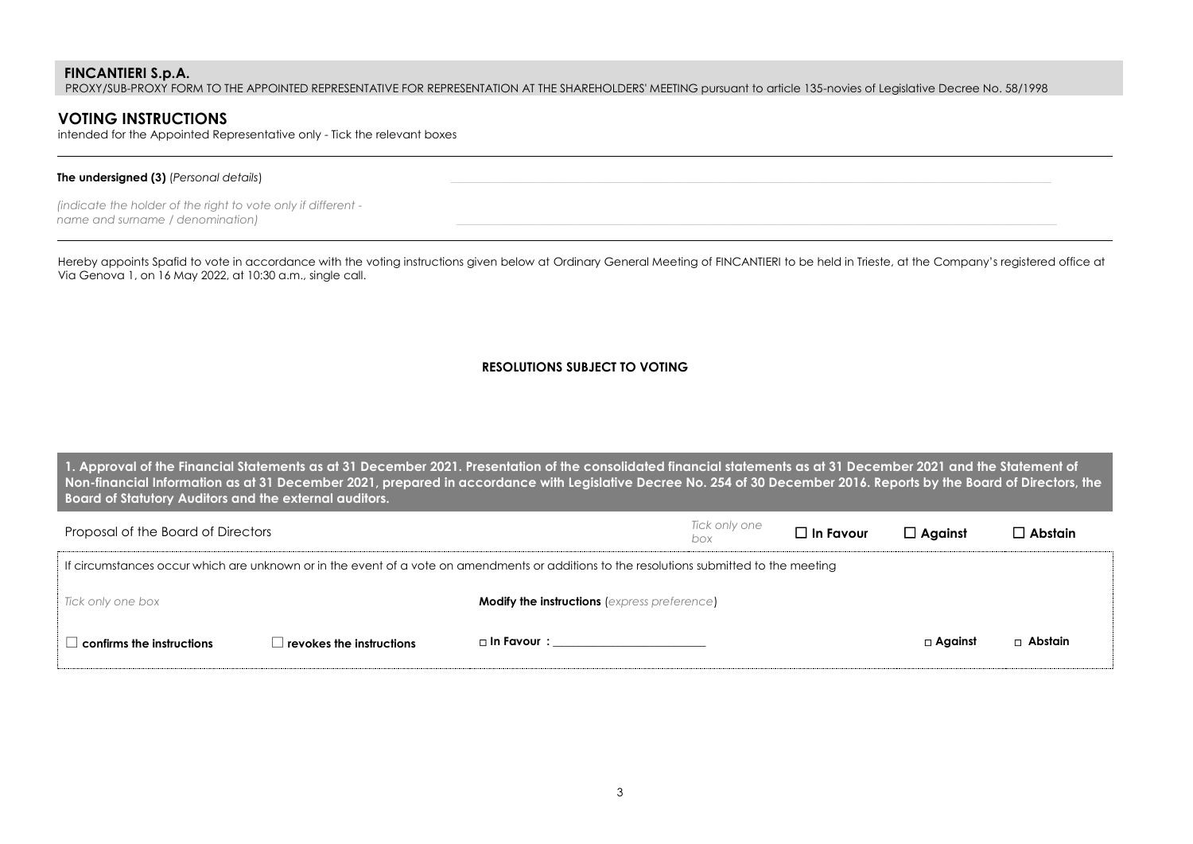PROXY/SUB-PROXY FORM TO THE APPOINTED REPRESENTATIVE FOR REPRESENTATION AT THE SHAREHOLDERS' MEETING pursuant to article 135-novies of Legislative Decree No. 58/1998

# **VOTING INSTRUCTIONS**

intended for the Appointed Representative only - Tick the relevant boxes

### **The undersigned (3)** *(Personal details)*

*(indicate the holder of the right to vote only if different -*  $\overline{n}$  *name and surname / denomination)* 

Hereby appoints Spafid to vote in accordance with the voting instructions given below at Ordinary General Meeting of FINCANTIERI to be held in Trieste, at the Company's registered office at Via Genova 1, on 16 May 2022, at 10:30 a.m., single call.

## **RESOLUTIONS SUBJECT TO VOTING**

**1. Approval of the Financial Statements as at 31 December 2021. Presentation of the consolidated financial statements as at 31 December 2021 and the Statement of Non-financial Information as at 31 December 2021, prepared in accordance with Legislative Decree No. 254 of 30 December 2016. Reports by the Board of Directors, the Board of Statutory Auditors and the external auditors.**

| Proposal of the Board of Directors |                          |                                                                                                                                           | Tick only one<br>box | $\Box$ In Favour | $\Box$ Against | $\Box$ Abstain |
|------------------------------------|--------------------------|-------------------------------------------------------------------------------------------------------------------------------------------|----------------------|------------------|----------------|----------------|
|                                    |                          | If circumstances occur which are unknown or in the event of a vote on amendments or additions to the resolutions submitted to the meeting |                      |                  |                |                |
| Tick only one box                  |                          | <b>Modify the instructions (express preference)</b>                                                                                       |                      |                  |                |                |
| confirms the instructions          | revokes the instructions | $\Box$ In Favour $\colon$                                                                                                                 |                      |                  | $\Box$ Against | $\Box$ Abstain |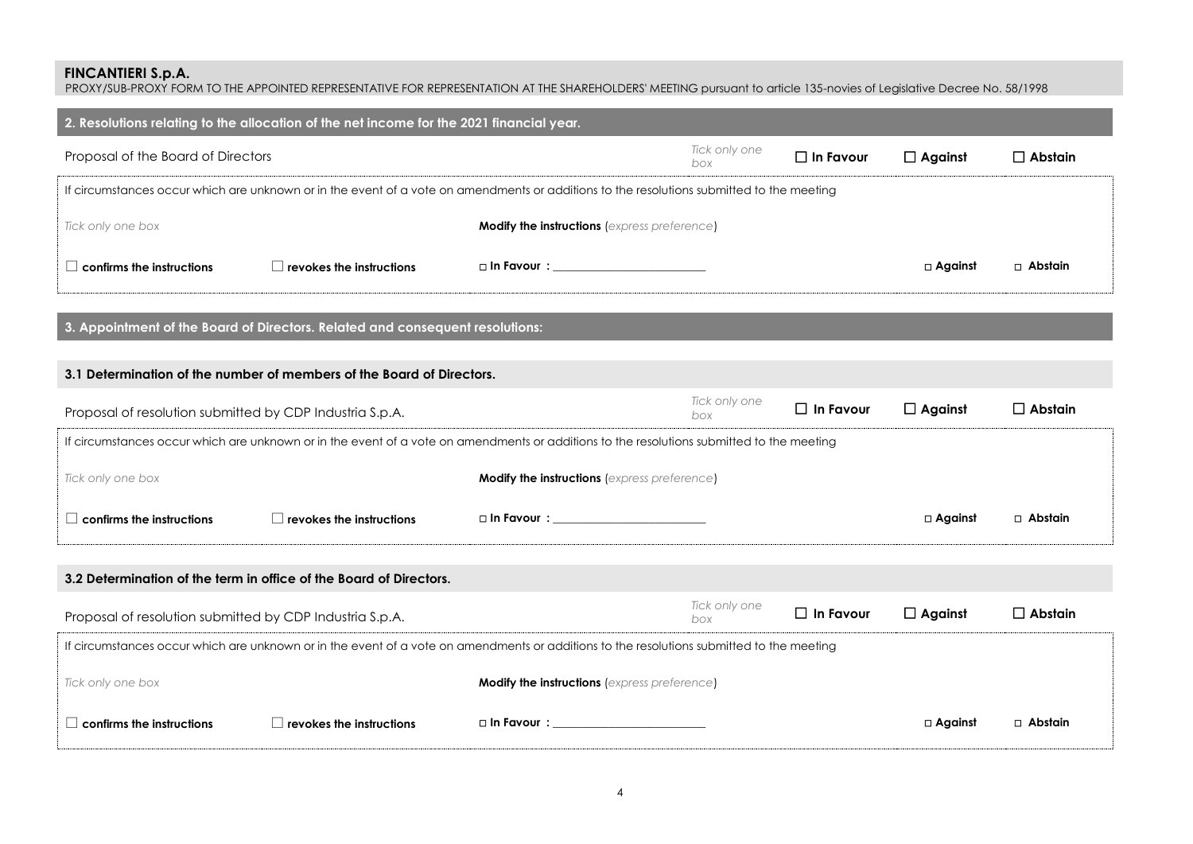PROXY/SUB-PROXY FORM TO THE APPOINTED REPRESENTATIVE FOR REPRESENTATION AT THE SHAREHOLDERS' MEETING pursuant to article 135-novies of Legislative Decree No. 58/1998

| 2. Resolutions relating to the allocation of the net income for the 2021 financial year.                                                  |                                                     |                           |                      |                  |                |                |  |  |  |
|-------------------------------------------------------------------------------------------------------------------------------------------|-----------------------------------------------------|---------------------------|----------------------|------------------|----------------|----------------|--|--|--|
| Proposal of the Board of Directors                                                                                                        |                                                     |                           | Tick only one<br>box | $\Box$ In Favour | $\Box$ Against | $\Box$ Abstain |  |  |  |
| If circumstances occur which are unknown or in the event of a vote on amendments or additions to the resolutions submitted to the meeting |                                                     |                           |                      |                  |                |                |  |  |  |
| Tick only one box                                                                                                                         | <b>Modify the instructions (express preference)</b> |                           |                      |                  |                |                |  |  |  |
| confirms the instructions                                                                                                                 | $\Box$ revokes the instructions                     | $\Box$ In Favour $\colon$ |                      |                  | $\Box$ Against | $\Box$ Abstain |  |  |  |

**3. Appointment of the Board of Directors. Related and consequent resolutions:**

## **3.1 Determination of the number of members of the Board of Directors.**

| Proposal of resolution submitted by CDP Industria S.p.A.                                                                                  |                                                                                                                                           |                                                     | Tick only one<br>box | $\Box$ In Favour | $\Box$ Against | $\Box$ Abstain |  |  |  |
|-------------------------------------------------------------------------------------------------------------------------------------------|-------------------------------------------------------------------------------------------------------------------------------------------|-----------------------------------------------------|----------------------|------------------|----------------|----------------|--|--|--|
| If circumstances occur which are unknown or in the event of a vote on amendments or additions to the resolutions submitted to the meeting |                                                                                                                                           |                                                     |                      |                  |                |                |  |  |  |
| Tick only one box                                                                                                                         |                                                                                                                                           | <b>Modify the instructions</b> (express preference) |                      |                  |                |                |  |  |  |
| $\Box$ confirms the instructions                                                                                                          | revokes the instructions                                                                                                                  | □ In Favour : ________________________              |                      |                  | $\Box$ Against | □ Abstain      |  |  |  |
|                                                                                                                                           |                                                                                                                                           |                                                     |                      |                  |                |                |  |  |  |
|                                                                                                                                           | 3.2 Determination of the term in office of the Board of Directors.                                                                        |                                                     |                      |                  |                |                |  |  |  |
| Proposal of resolution submitted by CDP Industria S.p.A.                                                                                  |                                                                                                                                           |                                                     | Tick only one<br>box | $\Box$ In Favour | $\Box$ Against | $\Box$ Abstain |  |  |  |
|                                                                                                                                           | If circumstances occur which are unknown or in the event of a vote on amendments or additions to the resolutions submitted to the meeting |                                                     |                      |                  |                |                |  |  |  |
| Tick only one box                                                                                                                         |                                                                                                                                           | <b>Modify the instructions</b> (express preference) |                      |                  |                |                |  |  |  |
| $\Box$ confirms the instructions                                                                                                          | $\,$ revokes the instructions $\,$                                                                                                        | $\square$ In Favour $\square$                       |                      |                  | $\Box$ Against | $\Box$ Abstain |  |  |  |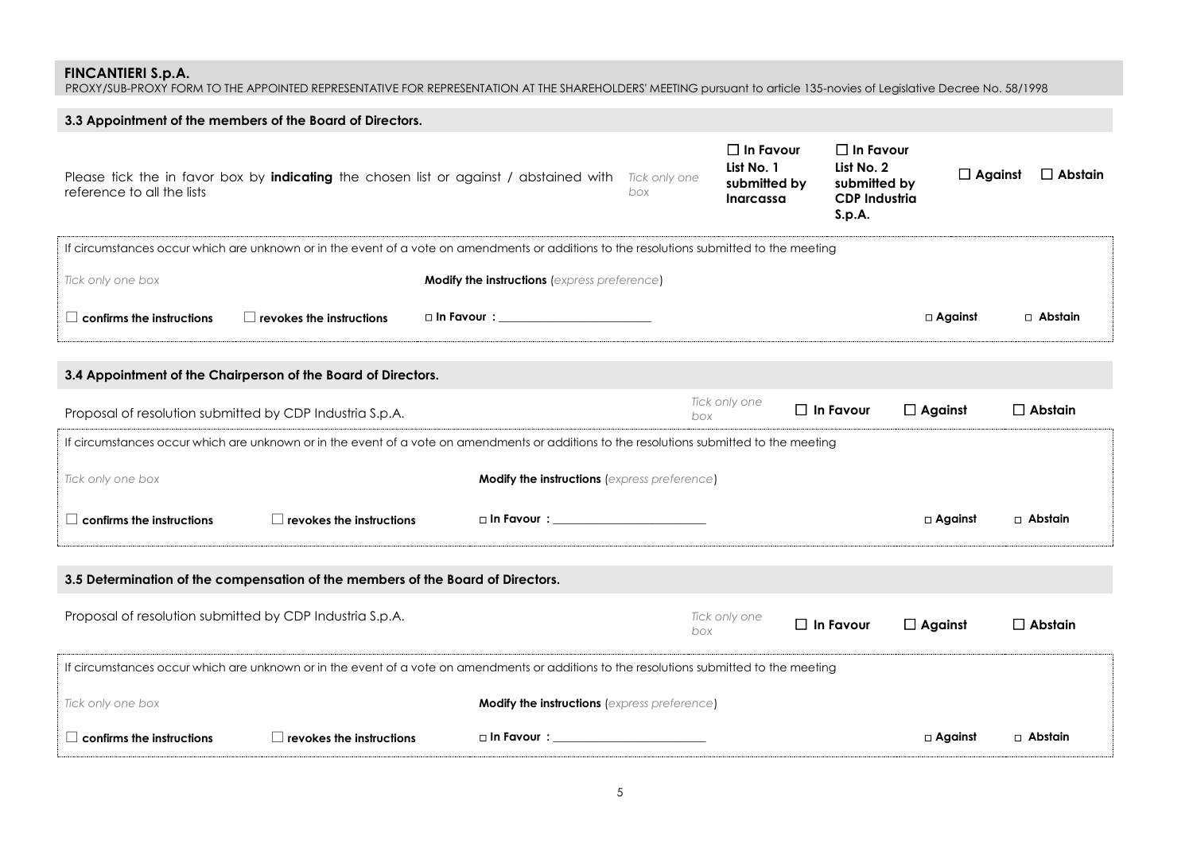PROXY/SUB-PROXY FORM TO THE APPOINTED REPRESENTATIVE FOR REPRESENTATION AT THE SHAREHOLDERS' MEETING pursuant to article 135-novies of Legislative Decree No. 58/1998

|                                                                                 | 3.3 Appointment of the members of the Board of Directors.     |                                                                                                                                           |     |                                                                    |                                                                                  |                |                                  |
|---------------------------------------------------------------------------------|---------------------------------------------------------------|-------------------------------------------------------------------------------------------------------------------------------------------|-----|--------------------------------------------------------------------|----------------------------------------------------------------------------------|----------------|----------------------------------|
| reference to all the lists                                                      |                                                               | Please tick the in favor box by indicating the chosen list or against / abstained with Tick only one                                      | box | $\Box$ In Favour<br>List No. 1<br>submitted by<br><b>Inarcassa</b> | $\Box$ In Favour<br>List No. 2<br>submitted by<br><b>CDP Industria</b><br>S.p.A. |                | $\Box$ Against<br>$\Box$ Abstain |
|                                                                                 |                                                               | If circumstances occur which are unknown or in the event of a vote on amendments or additions to the resolutions submitted to the meeting |     |                                                                    |                                                                                  |                |                                  |
| Tick only one box                                                               |                                                               | Modify the instructions (express preference)                                                                                              |     |                                                                    |                                                                                  |                |                                  |
| $\Box$ confirms the instructions                                                | $\Box$ revokes the instructions                               | □ In Favour : __________________________                                                                                                  |     |                                                                    |                                                                                  | $\Box$ Against | $\Box$ Abstain                   |
|                                                                                 | 3.4 Appointment of the Chairperson of the Board of Directors. |                                                                                                                                           |     |                                                                    |                                                                                  |                |                                  |
|                                                                                 | Proposal of resolution submitted by CDP Industria S.p.A.      |                                                                                                                                           | box | Tick only one                                                      | $\Box$ In Favour                                                                 | $\Box$ Against | $\Box$ Abstain                   |
|                                                                                 |                                                               | If circumstances occur which are unknown or in the event of a vote on amendments or additions to the resolutions submitted to the meeting |     |                                                                    |                                                                                  |                |                                  |
| Tick only one box                                                               |                                                               | <b>Modify the instructions (express preference)</b>                                                                                       |     |                                                                    |                                                                                  |                |                                  |
| $\Box$ confirms the instructions                                                | $\Box$ revokes the instructions                               | $\square$ In Favour $\square$                                                                                                             |     |                                                                    |                                                                                  | □ Against      | $\Box$ Abstain                   |
| 3.5 Determination of the compensation of the members of the Board of Directors. |                                                               |                                                                                                                                           |     |                                                                    |                                                                                  |                |                                  |
|                                                                                 | Proposal of resolution submitted by CDP Industria S.p.A.      |                                                                                                                                           | box | Tick only one                                                      | $\Box$ In Favour                                                                 | $\Box$ Against | $\Box$ Abstain                   |
|                                                                                 |                                                               | If circumstances occur which are unknown or in the event of a vote on amendments or additions to the resolutions submitted to the meeting |     |                                                                    |                                                                                  |                |                                  |
| Tick only one box                                                               |                                                               | <b>Modify the instructions (express preference)</b>                                                                                       |     |                                                                    |                                                                                  |                |                                  |
| $\Box$ confirms the instructions                                                | $\Box$ revokes the instructions                               | □ In Favour : ____________________________                                                                                                |     |                                                                    |                                                                                  | $\Box$ Against | $\Box$ Abstain                   |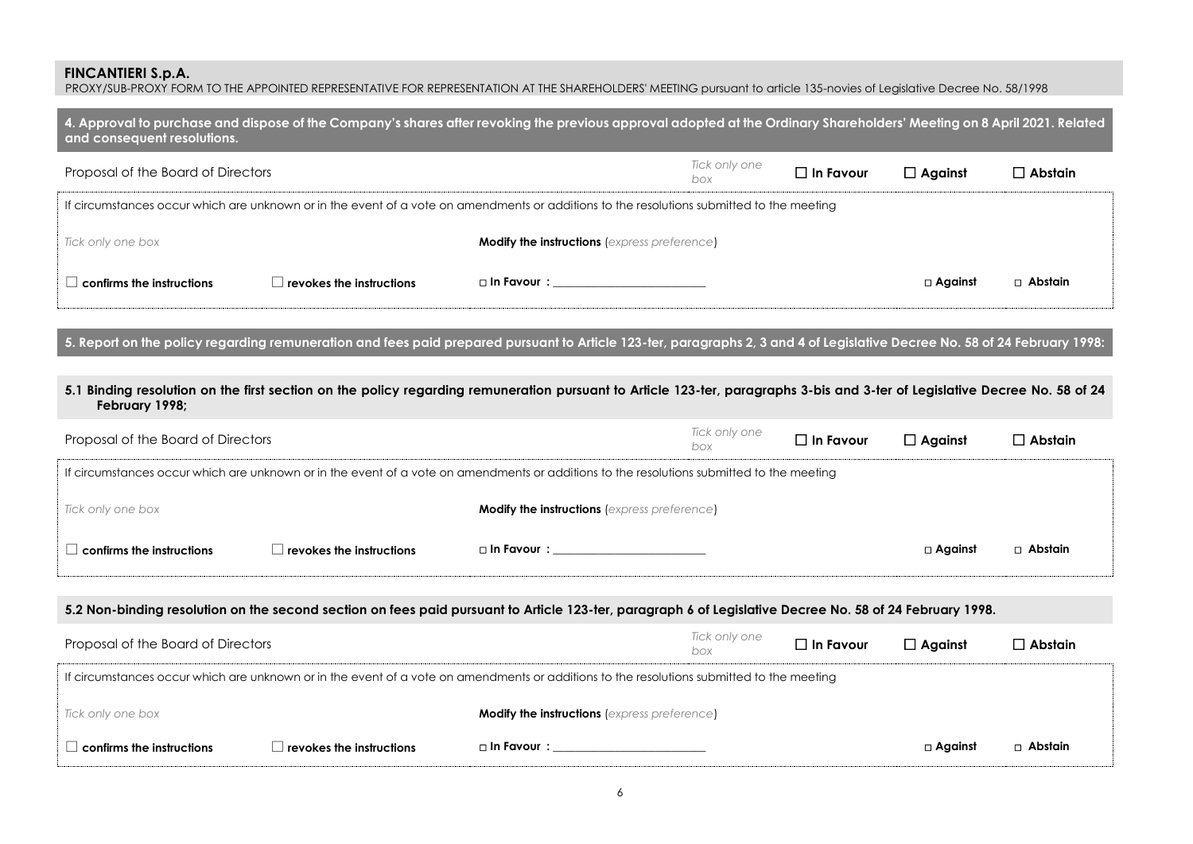PROXY/SUB-PROXY FORM TO THE APPOINTED REPRESENTATIVE FOR REPRESENTATION AT THE SHAREHOLDERS' MEETING pursuant to article 135-novies of Legislative Decree No. 58/1998

| 4. Approval to purchase and dispose of the Company's shares after revoking the previous approval adopted at the Ordinary Shareholders' Meeting on 8 April 2021. Related<br>and consequent resolutions. |                                          |                                                                                                                                           |                      |                  |                |                |  |  |
|--------------------------------------------------------------------------------------------------------------------------------------------------------------------------------------------------------|------------------------------------------|-------------------------------------------------------------------------------------------------------------------------------------------|----------------------|------------------|----------------|----------------|--|--|
| Proposal of the Board of Directors                                                                                                                                                                     |                                          |                                                                                                                                           | Tick only one<br>box | $\Box$ In Favour | $\Box$ Against | $\Box$ Abstain |  |  |
|                                                                                                                                                                                                        |                                          | If circumstances occur which are unknown or in the event of a vote on amendments or additions to the resolutions submitted to the meeting |                      |                  |                |                |  |  |
| Tick only one box                                                                                                                                                                                      |                                          | <b>Modify the instructions</b> (express preference)                                                                                       |                      |                  |                |                |  |  |
| confirms the instructions                                                                                                                                                                              | $\perp$ revokes the instructions $\perp$ | $\Box$ In Favour $\colon$                                                                                                                 |                      |                  | □ Against      | □ Abstain      |  |  |

**5. Report on the policy regarding remuneration and fees paid prepared pursuant to Article 123-ter, paragraphs 2, 3 and 4 of Legislative Decree No. 58 of 24 February 1998:**

**5.1 Binding resolution on the first section on the policy regarding remuneration pursuant to Article 123-ter, paragraphs 3-bis and 3-ter of Legislative Decree No. 58 of 24 February 1998;**

| Proposal of the Board of Directors                                                                                                        |                          |                                                     | Tick only one<br>box | $\Box$ In Favour | $\Box$ Against    | $\Box$ Abstain . |  |  |  |
|-------------------------------------------------------------------------------------------------------------------------------------------|--------------------------|-----------------------------------------------------|----------------------|------------------|-------------------|------------------|--|--|--|
| If circumstances occur which are unknown or in the event of a vote on amendments or additions to the resolutions submitted to the meeting |                          |                                                     |                      |                  |                   |                  |  |  |  |
| Tick only one box                                                                                                                         |                          | <b>Modify the instructions (express preference)</b> |                      |                  |                   |                  |  |  |  |
| $\Box$ confirms the instructions                                                                                                          | revokes the instructions | $\Box$ In Favour $\colon$                           |                      |                  | $\square$ Against | $\Box$ Abstain   |  |  |  |

**5.2 Non-binding resolution on the second section on fees paid pursuant to Article 123-ter, paragraph 6 of Legislative Decree No. 58 of 24 February 1998.**

| Proposal of the Board of Directors                                                                                                        |                                  |                                                     | Tick only one<br>box | $\Box$ In Favour | $\Box$ Against    | $\square$ Abstain |  |
|-------------------------------------------------------------------------------------------------------------------------------------------|----------------------------------|-----------------------------------------------------|----------------------|------------------|-------------------|-------------------|--|
| If circumstances occur which are unknown or in the event of a vote on amendments or additions to the resolutions submitted to the meeting |                                  |                                                     |                      |                  |                   |                   |  |
| Tick only one box                                                                                                                         |                                  | <b>Modify the instructions (express preference)</b> |                      |                  |                   |                   |  |
| $\Box$ confirms the instructions                                                                                                          | $\perp$ revokes the instructions | □ In Favour :                                       |                      |                  | $\square$ Against | □ Abstain         |  |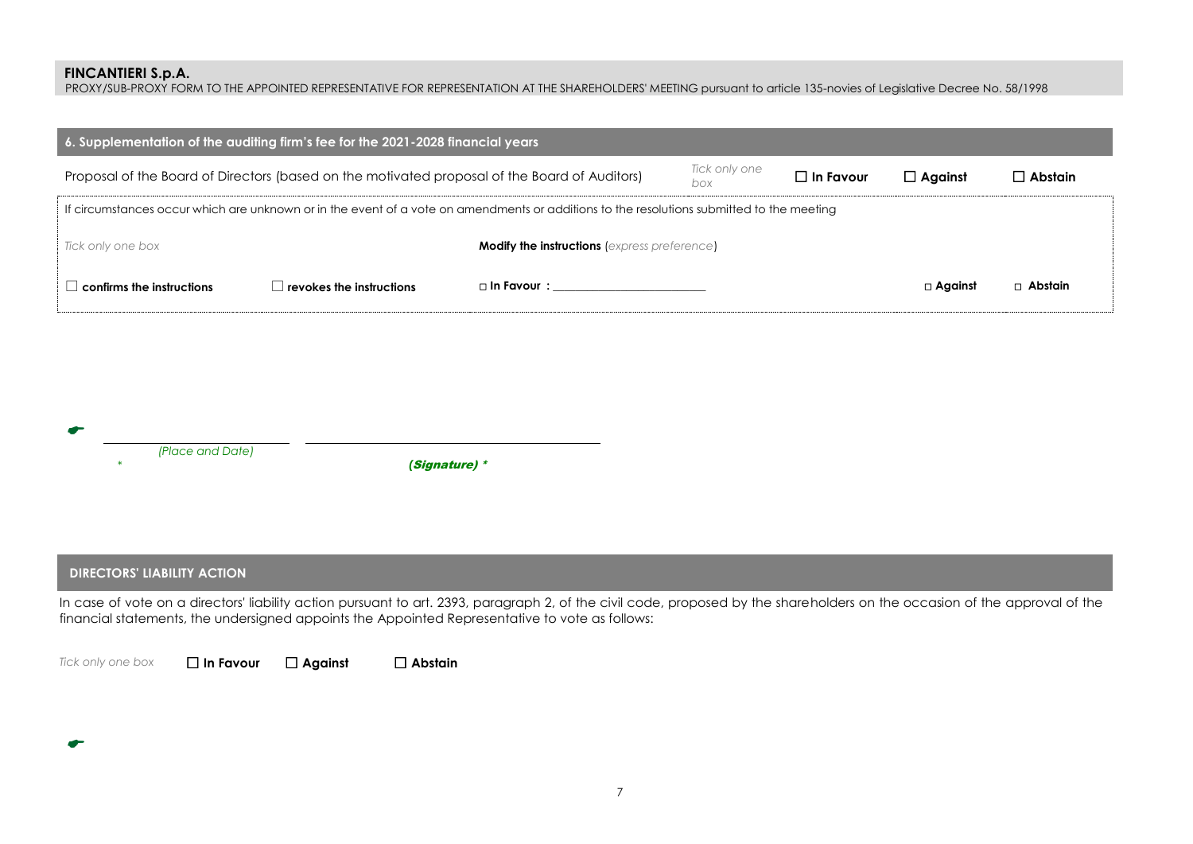PROXY/SUB-PROXY FORM TO THE APPOINTED REPRESENTATIVE FOR REPRESENTATION AT THE SHAREHOLDERS' MEETING pursuant to article 135-novies of Legislative Decree No. 58/1998

| 6. Supplementation of the auditing firm's fee for the 2021-2028 financial years                                                           |                                    |                                                     |                      |                  |                   |                |  |  |  |
|-------------------------------------------------------------------------------------------------------------------------------------------|------------------------------------|-----------------------------------------------------|----------------------|------------------|-------------------|----------------|--|--|--|
| Proposal of the Board of Directors (based on the motivated proposal of the Board of Auditors)                                             |                                    |                                                     | Tick only one<br>box | $\Box$ In Favour | $\Box$ Against    | $\Box$ Abstain |  |  |  |
| If circumstances occur which are unknown or in the event of a vote on amendments or additions to the resolutions submitted to the meeting |                                    |                                                     |                      |                  |                   |                |  |  |  |
| Tick only one box                                                                                                                         |                                    | <b>Modify the instructions (express preference)</b> |                      |                  |                   |                |  |  |  |
| confirms the instructions                                                                                                                 | $\;$ revokes the instructions $\;$ | $\square$ In Favour $\colon$                        |                      |                  | $\square$ Against | $\Box$ Abstain |  |  |  |

## **DIRECTORS' LIABILITY ACTION**

In case of vote on a directors' liability action pursuant to art. 2393, paragraph 2, of the civil code, proposed by the shareholders on the occasion of the approval of the financial statements, the undersigned appoints the Appointed Representative to vote as follows:

σ

*Tick only one box* **In Favour Against Abstain**

7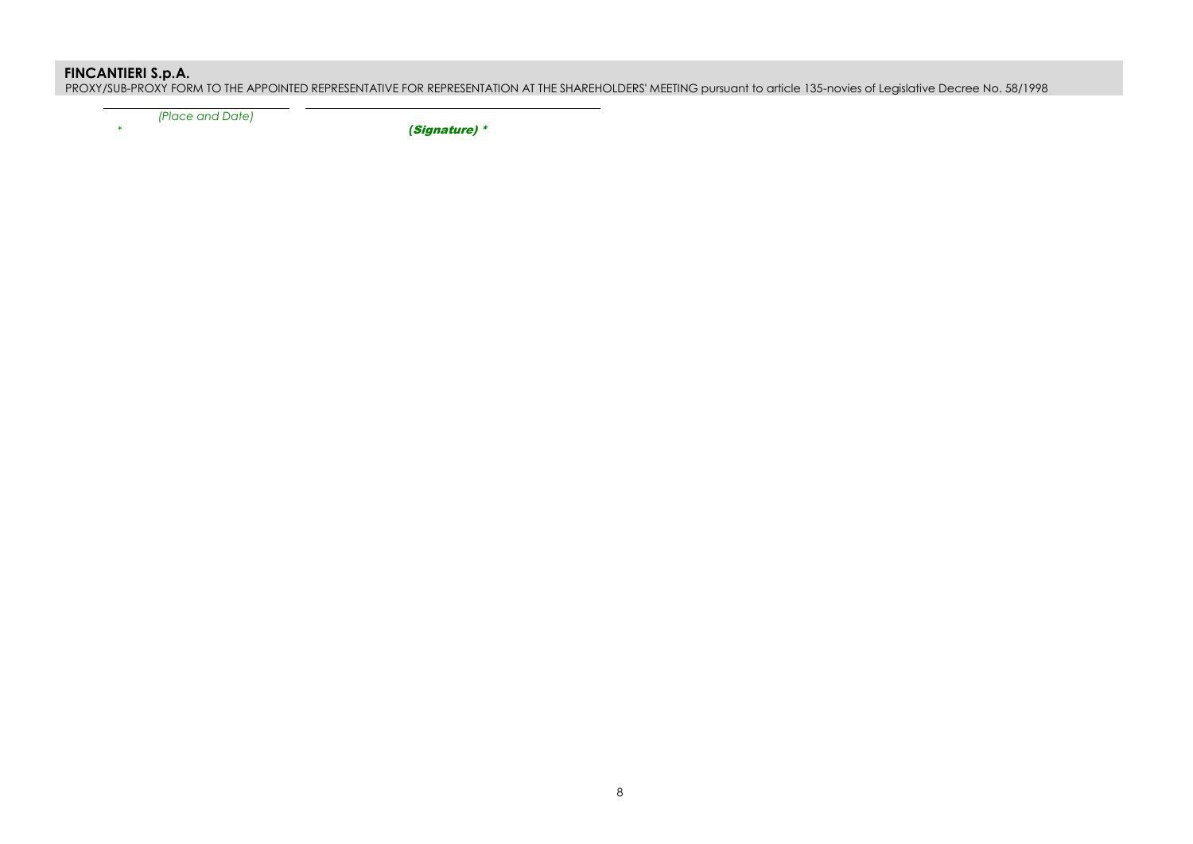PROXY/SUB-PROXY FORM TO THE APPOINTED REPRESENTATIVE FOR REPRESENTATION AT THE SHAREHOLDERS' MEETING pursuant to article 135-novies of Legislative Decree No. 58/1998

 *(Place and Date)*

*\* (*Signature) \*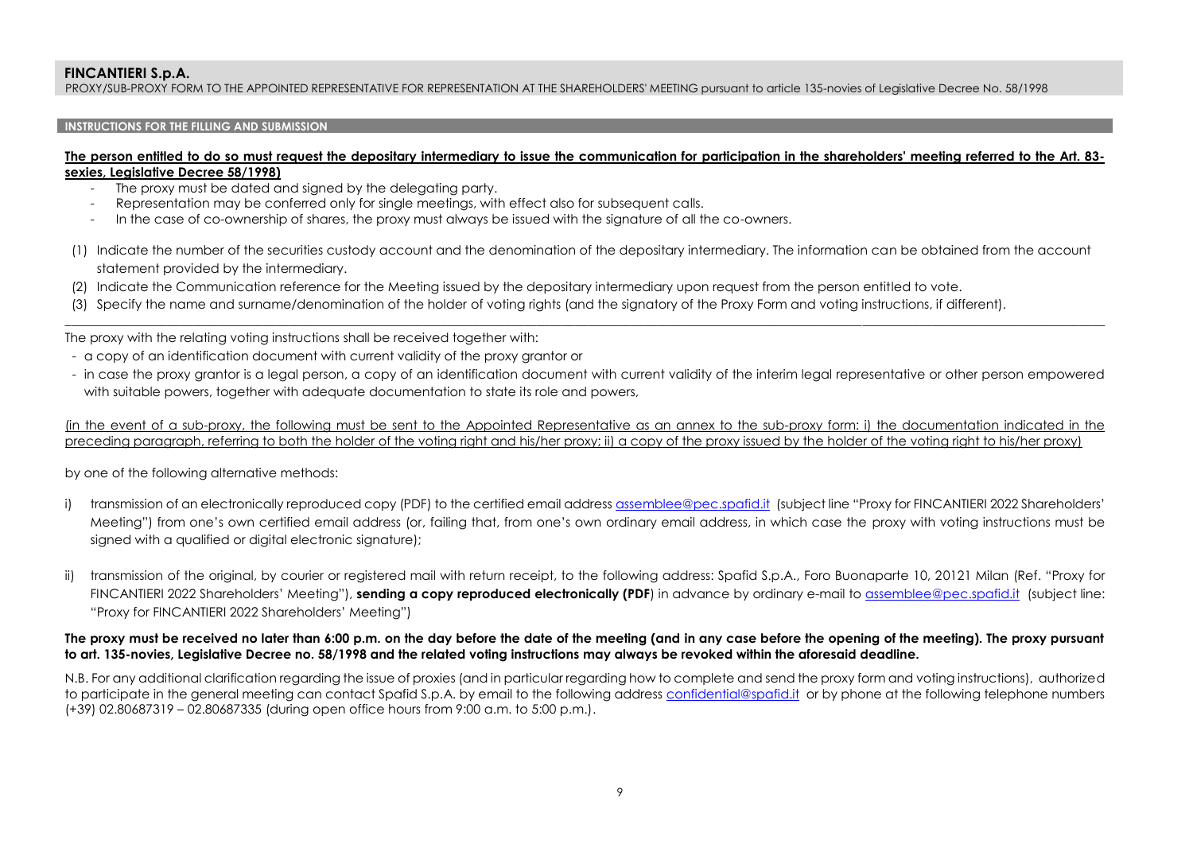PROXY/SUB-PROXY FORM TO THE APPOINTED REPRESENTATIVE FOR REPRESENTATION AT THE SHAREHOLDERS' MEETING pursuant to article 135-novies of Legislative Decree No. 58/1998

## **INSTRUCTIONS FOR THE FILLING AND SUBMISSION**

### **The person entitled to do so must request the depositary intermediary to issue the communication for participation in the shareholders' meeting referred to the Art. 83 sexies, Legislative Decree 58/1998)**

- The proxy must be dated and signed by the delegating party.
- Representation may be conferred only for single meetings, with effect also for subsequent calls.
- In the case of co-ownership of shares, the proxy must always be issued with the signature of all the co-owners.
- (1) Indicate the number of the securities custody account and the denomination of the depositary intermediary. The information can be obtained from the account statement provided by the intermediary.

\_\_\_\_\_\_\_\_\_\_\_\_\_\_\_\_\_\_\_\_\_\_\_\_\_\_\_\_\_\_\_\_\_\_\_\_\_\_\_\_\_\_\_\_\_\_\_\_\_\_\_\_\_\_\_\_\_\_\_\_\_\_\_\_\_\_\_\_\_\_\_\_\_\_\_\_\_\_\_\_\_\_\_\_\_\_\_\_\_\_\_\_\_\_\_\_\_\_\_\_\_\_\_\_\_\_\_\_\_\_\_\_\_\_\_\_\_\_\_\_\_\_\_\_\_\_\_\_\_\_\_\_\_\_\_\_\_\_\_\_\_\_\_\_\_\_\_\_\_\_\_\_\_\_\_\_\_\_\_\_\_\_\_

- (2) Indicate the Communication reference for the Meeting issued by the depositary intermediary upon request from the person entitled to vote.
- (3) Specify the name and surname/denomination of the holder of voting rights (and the signatory of the Proxy Form and voting instructions, if different).

The proxy with the relating voting instructions shall be received together with:

- a copy of an identification document with current validity of the proxy grantor or
- in case the proxy grantor is a legal person, a copy of an identification document with current validity of the interim legal representative or other person empowered with suitable powers, together with adequate documentation to state its role and powers,

(in the event of a sub-proxy, the following must be sent to the Appointed Representative as an annex to the sub-proxy form: i) the documentation indicated in the preceding paragraph, referring to both the holder of the voting right and his/her proxy; ii) a copy of the proxy issued by the holder of the voting right to his/her proxy)

by one of the following alternative methods:

- i) transmission of an electronically reproduced copy (PDF) to the certified email addres[s assemblee@pec.spafid.it](mailto:assemblee@pec.spafid.it) (subject line "Proxy for FINCANTIERI 2022 Shareholders' Meeting") from one's own certified email address (or, failing that, from one's own ordinary email address, in which case the proxy with voting instructions must be signed with a qualified or digital electronic signature);
- ii) transmission of the original, by courier or registered mail with return receipt, to the following address: Spafid S.p.A., Foro Buonaparte 10, 20121 Milan (Ref. "Proxy for FINCANTIERI 2022 Shareholders' Meeting"), **sending a copy reproduced electronically (PDF**) in advance by ordinary e-mail to [assemblee@pec.spafid.it](mailto:assemblee@pec.spafid.it) (subject line: "Proxy for FINCANTIERI 2022 Shareholders' Meeting")

## **The proxy must be received no later than 6:00 p.m. on the day before the date of the meeting (and in any case before the opening of the meeting). The proxy pursuant to art. 135-novies, Legislative Decree no. 58/1998 and the related voting instructions may always be revoked within the aforesaid deadline.**

N.B. For any additional clarification regarding the issue of proxies (and in particular regarding how to complete and send the proxy form and voting instructions), authorized to participate in the general meeting can contact Spafid S.p.A. by email to the following address [confidential@spafid.it](mailto:confidential@spafid.it) or by phone at the following telephone numbers (+39) 02.80687319 – 02.80687335 (during open office hours from 9:00 a.m. to 5:00 p.m.).